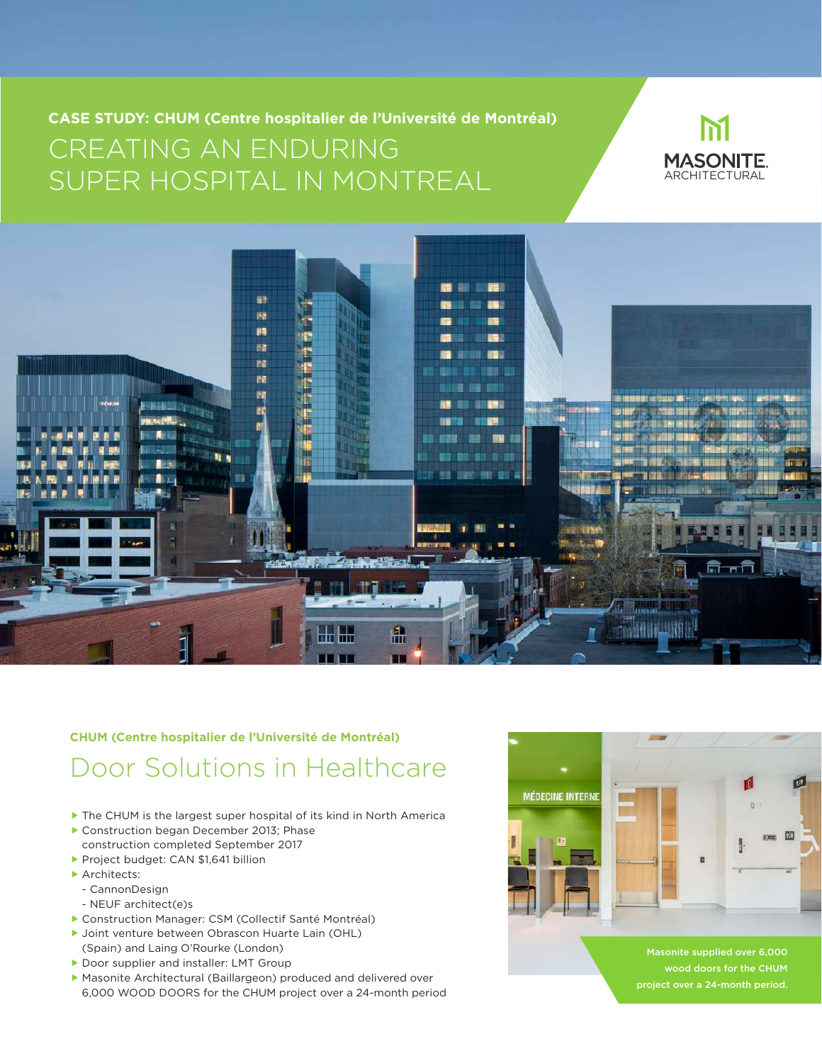**CASE STUDY: CHUM (Centre hospitalier de l'Université de Montréal)** CREATING AN ENDURING SUPER HOSPITAL IN MONTREAL





## Door Solutions in Healthcare **CHUM (Centre hospitalier de l'Université de Montréal)**

- ▶ The CHUM is the largest super hospital of its kind in North America
- Construction began December 2013; Phase construction completed September 2017
- Project budget: CAN \$1,641 billion
- **Architects:** 
	- CannonDesign
	- NEUF architect(e)s
- Construction Manager: CSM (Collectif Santé Montréal)
- ▶ Joint venture between Obrascon Huarte Lain (OHL) (Spain) and Laing O'Rourke (London)
- Door supplier and installer: LMT Group
- Masonite Architectural (Baillargeon) produced and delivered over 6,000 WOOD DOORS for the CHUM project over a 24-month period



Masonite supplied over 6,000 wood doors for the CHUM project over a 24-month period.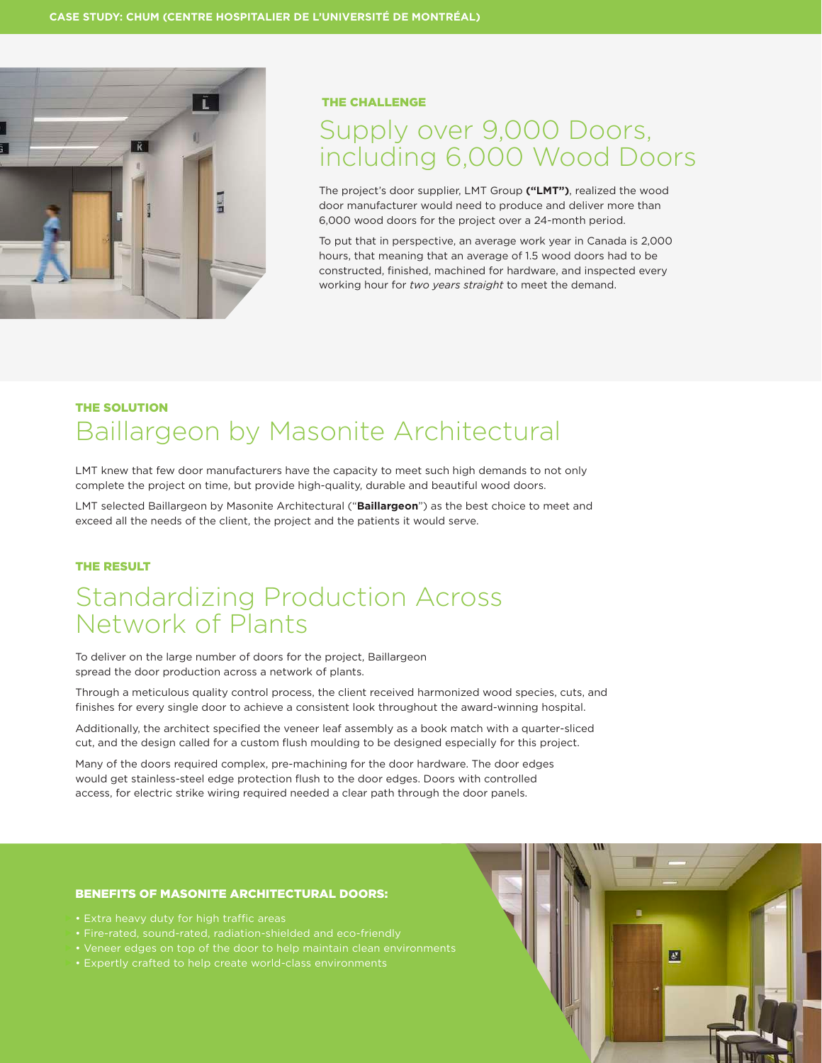

#### THE CHALLENGE

## Supply over 9,000 Doors, including 6,000 Wood Doors

The project's door supplier, LMT Group **("LMT")**, realized the wood door manufacturer would need to produce and deliver more than 6,000 wood doors for the project over a 24-month period.

To put that in perspective, an average work year in Canada is 2,000 hours, that meaning that an average of 1.5 wood doors had to be constructed, finished, machined for hardware, and inspected every working hour for *two years straight* to meet the demand.

### THE SOLUTION Baillargeon by Masonite Architectural

LMT knew that few door manufacturers have the capacity to meet such high demands to not only complete the project on time, but provide high-quality, durable and beautiful wood doors.

LMT selected Baillargeon by Masonite Architectural ("**Baillargeon**") as the best choice to meet and exceed all the needs of the client, the project and the patients it would serve.

#### THE RESULT

## Standardizing Production Across Network of Plants

To deliver on the large number of doors for the project, Baillargeon spread the door production across a network of plants.

Through a meticulous quality control process, the client received harmonized wood species, cuts, and finishes for every single door to achieve a consistent look throughout the award-winning hospital.

Additionally, the architect specified the veneer leaf assembly as a book match with a quarter-sliced cut, and the design called for a custom flush moulding to be designed especially for this project.

Many of the doors required complex, pre-machining for the door hardware. The door edges would get stainless-steel edge protection flush to the door edges. Doors with controlled access, for electric strike wiring required needed a clear path through the door panels.

#### BENEFITS OF MASONITE ARCHITECTURAL DOORS:

- 
- Fire-rated, sound-rated, radiation-shielded and eco-friendly
- Veneer edges on top of the door to help maintain clean environments
- Expertly crafted to help create world-class environments

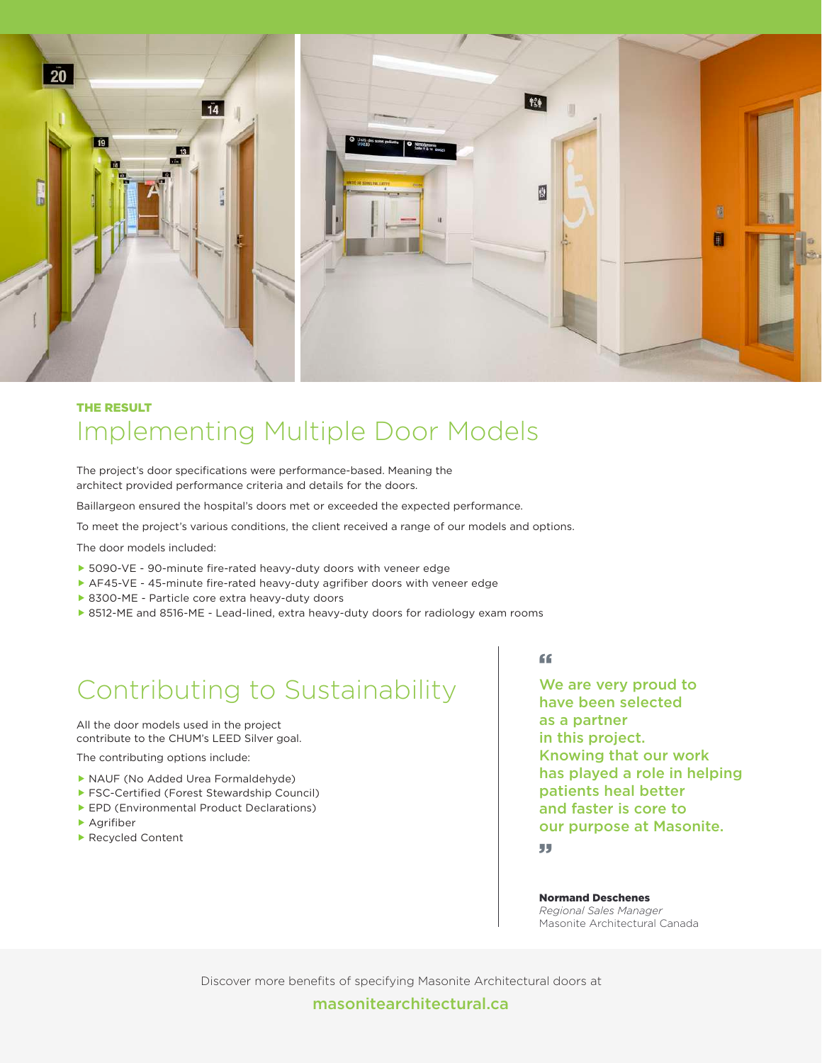

## THE RESULT Implementing Multiple Door Models

The project's door specifications were performance-based. Meaning the architect provided performance criteria and details for the doors.

Baillargeon ensured the hospital's doors met or exceeded the expected performance.

To meet the project's various conditions, the client received a range of our models and options.

The door models included:

- 5090-VE 90-minute fire-rated heavy-duty doors with veneer edge
- AF45-VE 45-minute fire-rated heavy-duty agrifiber doors with veneer edge
- ▶ 8300-ME Particle core extra heavy-duty doors
- ▶ 8512-ME and 8516-ME Lead-lined, extra heavy-duty doors for radiology exam rooms

# Contributing to Sustainability

All the door models used in the project contribute to the CHUM's LEED Silver goal.

The contributing options include:

- NAUF (No Added Urea Formaldehyde)
- ▶ FSC-Certified (Forest Stewardship Council)
- EPD (Environmental Product Declarations)
- **A**arifiber
- ▶ Recycled Content

"

We are very proud to have been selected as a partner in this project. Knowing that our work has played a role in helping patients heal better and faster is core to our purpose at Masonite. "

Normand Deschenes *Regional Sales Manager* Masonite Architectural Canada

Discover more benefits of specifying Masonite Architectural doors at

#### masonitearchitectural.ca